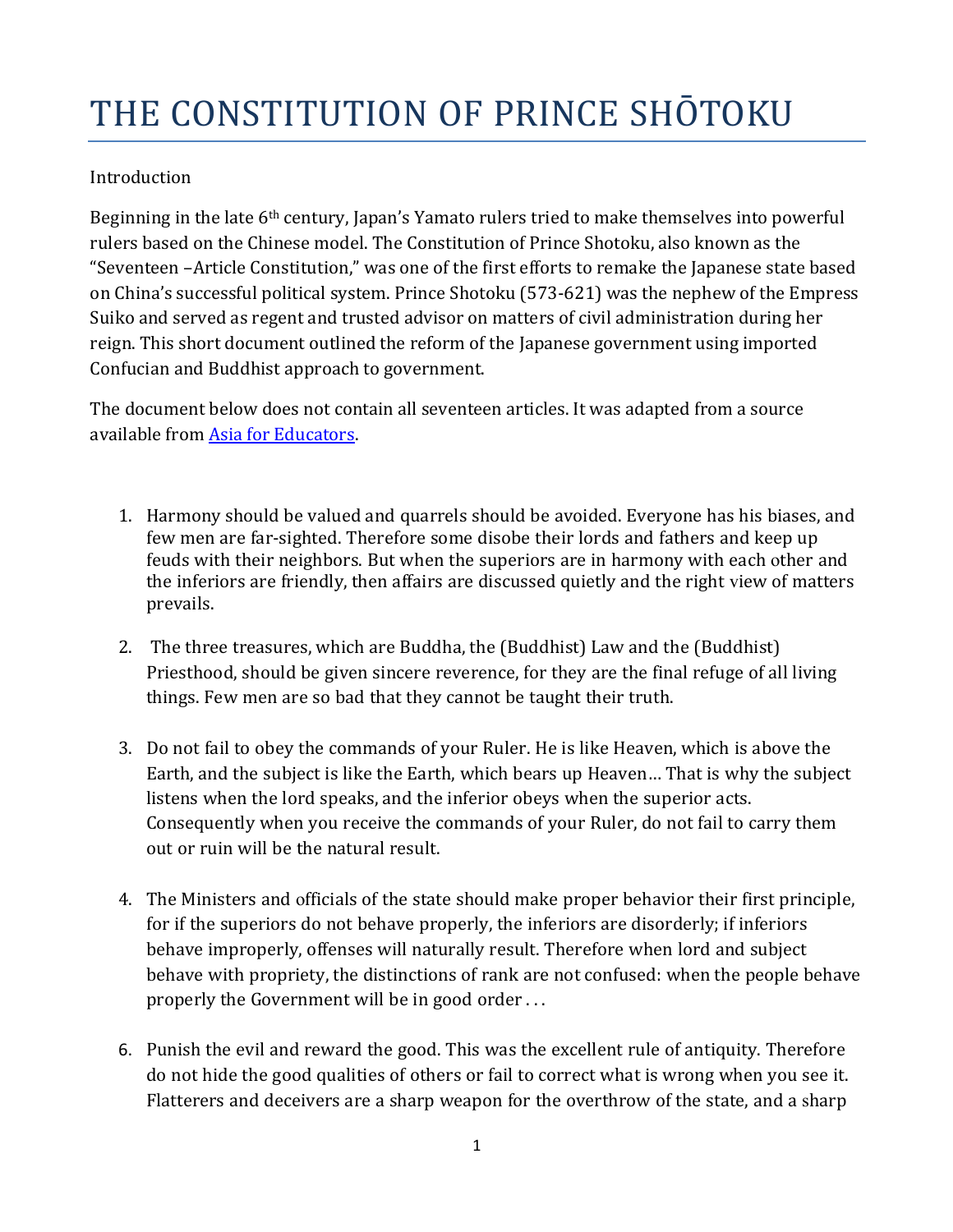## THE CONSTITUTION OF PRINCE SHOTOKU

## **Introduction**

Beginning in the late  $6<sup>th</sup>$  century, Japan's Yamato rulers tried to make themselves into powerful rulers based on the Chinese model. The Constitution of Prince Shotoku, also known as the "Seventeen -Article Constitution," was one of the first efforts to remake the Japanese state based on China's successful political system. Prince Shotoku (573-621) was the nephew of the Empress Suiko and served as regent and trusted advisor on matters of civil administration during her reign. This short document outlined the reform of the Japanese government using imported Confucian and Buddhist approach to government.

The document below does not contain all seventeen articles. It was adapted from a source available from Asia for Educators.

- 1. Harmony should be valued and quarrels should be avoided. Everyone has his biases, and few men are far-sighted. Therefore some disobe their lords and fathers and keep up feuds with their neighbors. But when the superiors are in harmony with each other and the inferiors are friendly, then affairs are discussed quietly and the right view of matters prevails.
- 2. The three treasures, which are Buddha, the (Buddhist) Law and the (Buddhist) Priesthood, should be given sincere reverence, for they are the final refuge of all living things. Few men are so bad that they cannot be taught their truth.
- 3. Do not fail to obey the commands of your Ruler. He is like Heaven, which is above the Earth, and the subject is like the Earth, which bears up Heaven… That is why the subject listens when the lord speaks, and the inferior obeys when the superior acts. Consequently when you receive the commands of your Ruler, do not fail to carry them out or ruin will be the natural result.
- 4. The Ministers and officials of the state should make proper behavior their first principle, for if the superiors do not behave properly, the inferiors are disorderly; if inferiors behave improperly, offenses will naturally result. Therefore when lord and subject behave with propriety, the distinctions of rank are not confused: when the people behave properly the Government will be in good order ...
- 6. Punish the evil and reward the good. This was the excellent rule of antiquity. Therefore do not hide the good qualities of others or fail to correct what is wrong when you see it. Flatterers and deceivers are a sharp weapon for the overthrow of the state, and a sharp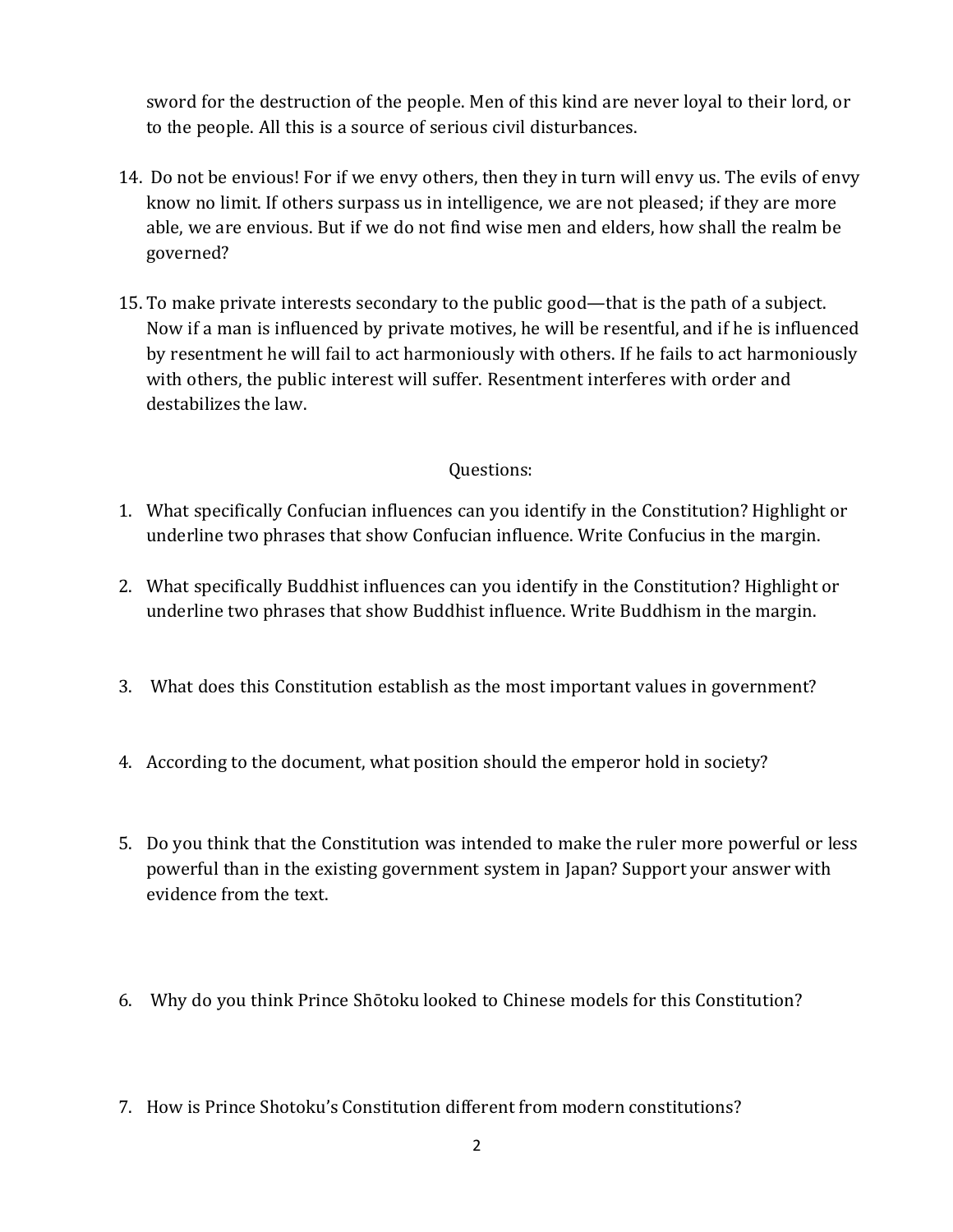sword for the destruction of the people. Men of this kind are never loyal to their lord, or to the people. All this is a source of serious civil disturbances.

- 14. Do not be envious! For if we envy others, then they in turn will envy us. The evils of envy know no limit. If others surpass us in intelligence, we are not pleased; if they are more able, we are envious. But if we do not find wise men and elders, how shall the realm be governed?
- 15. To make private interests secondary to the public good—that is the path of a subject. Now if a man is influenced by private motives, he will be resentful, and if he is influenced by resentment he will fail to act harmoniously with others. If he fails to act harmoniously with others, the public interest will suffer. Resentment interferes with order and destabilizes the law.

## Questions:

- 1. What specifically Confucian influences can you identify in the Constitution? Highlight or underline two phrases that show Confucian influence. Write Confucius in the margin.
- 2. What specifically Buddhist influences can you identify in the Constitution? Highlight or underline two phrases that show Buddhist influence. Write Buddhism in the margin.
- 3. What does this Constitution establish as the most important values in government?
- 4. According to the document, what position should the emperor hold in society?
- 5. Do you think that the Constitution was intended to make the ruler more powerful or less powerful than in the existing government system in Japan? Support your answer with evidence from the text.
- 6. Why do you think Prince Shōtoku looked to Chinese models for this Constitution?
- 7. How is Prince Shotoku's Constitution different from modern constitutions?